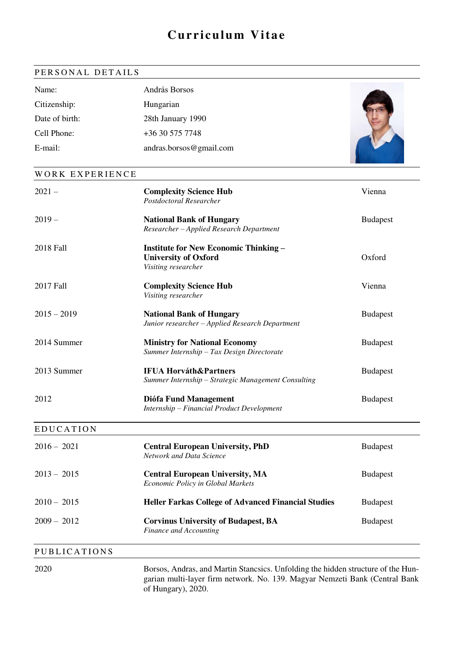# **Curriculum Vitae**

## PERSONAL DETAILS

| Name:          | András Borsos           |  |
|----------------|-------------------------|--|
| Citizenship:   | Hungarian               |  |
| Date of birth: | 28th January 1990       |  |
| Cell Phone:    | +36 30 575 7748         |  |
| E-mail:        | andras.borsos@gmail.com |  |

#### WORK EXPERIENCE

| $2021 -$            | <b>Complexity Science Hub</b><br>Postdoctoral Researcher                                           | Vienna          |
|---------------------|----------------------------------------------------------------------------------------------------|-----------------|
| $2019 -$            | <b>National Bank of Hungary</b><br>Researcher - Applied Research Department                        | <b>Budapest</b> |
| 2018 Fall           | <b>Institute for New Economic Thinking –</b><br><b>University of Oxford</b><br>Visiting researcher | Oxford          |
| 2017 Fall           | <b>Complexity Science Hub</b><br>Visiting researcher                                               | Vienna          |
| $2015 - 2019$       | <b>National Bank of Hungary</b><br>Junior researcher - Applied Research Department                 | <b>Budapest</b> |
| 2014 Summer         | <b>Ministry for National Economy</b><br>Summer Internship - Tax Design Directorate                 | <b>Budapest</b> |
| 2013 Summer         | <b>IFUA Horváth&amp;Partners</b><br>Summer Internship - Strategic Management Consulting            | <b>Budapest</b> |
| 2012                | Diófa Fund Management<br>Internship - Financial Product Development                                | <b>Budapest</b> |
| <b>EDUCATION</b>    |                                                                                                    |                 |
| $2016 - 2021$       | <b>Central European University, PhD</b><br>Network and Data Science                                | <b>Budapest</b> |
| $2013 - 2015$       | <b>Central European University, MA</b><br>Economic Policy in Global Markets                        | <b>Budapest</b> |
| $2010 - 2015$       | <b>Heller Farkas College of Advanced Financial Studies</b>                                         | <b>Budapest</b> |
| $2009 - 2012$       | <b>Corvinus University of Budapest, BA</b><br>Finance and Accounting                               | <b>Budapest</b> |
| <b>PUBLICATIONS</b> |                                                                                                    |                 |

2020 Borsos, Andras, and Martin Stancsics. Unfolding the hidden structure of the Hungarian multi-layer firm network. No. 139. Magyar Nemzeti Bank (Central Bank of Hungary), 2020.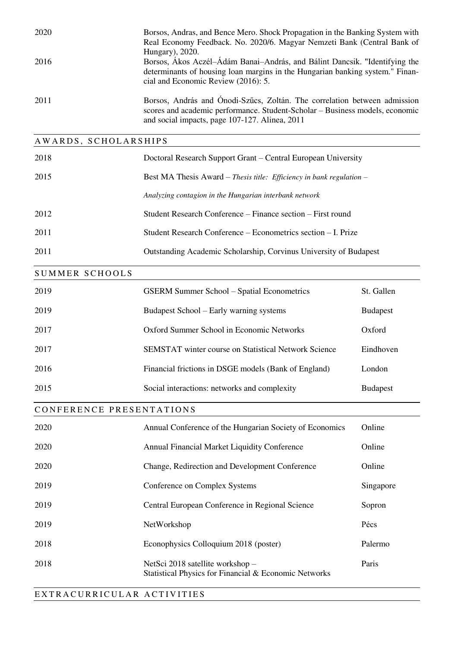| 2020                 | Borsos, Andras, and Bence Mero. Shock Propagation in the Banking System with<br>Real Economy Feedback. No. 2020/6. Magyar Nemzeti Bank (Central Bank of<br>Hungary), 2020.                                  |
|----------------------|-------------------------------------------------------------------------------------------------------------------------------------------------------------------------------------------------------------|
| 2016                 | Borsos, Ákos Aczél–Ádám Banai–András, and Bálint Dancsik. "Identifying the<br>determinants of housing loan margins in the Hungarian banking system." Finan-<br>cial and Economic Review (2016): 5.          |
| 2011                 | Borsos, András and Ónodi-Szűcs, Zoltán. The correlation between admission<br>scores and academic performance. Student-Scholar – Business models, economic<br>and social impacts, page 107-127. Alinea, 2011 |
| AWARDS, SCHOLARSHIPS |                                                                                                                                                                                                             |
| 2018                 | Doctoral Research Support Grant – Central European University                                                                                                                                               |
| 2015                 | Best MA Thesis Award – Thesis title: Efficiency in bank regulation –                                                                                                                                        |
|                      | Analyzing contagion in the Hungarian interbank network                                                                                                                                                      |

- 2012 Student Research Conference Finance section First round
- 2011 Student Research Conference Econometrics section I. Prize
- 2011 Outstanding Academic Scholarship, Corvinus University of Budapest

#### SUMMER SCHOOLS

| 2019 | <b>GSERM Summer School – Spatial Econometrics</b>           | St. Gallen      |
|------|-------------------------------------------------------------|-----------------|
| 2019 | Budapest School – Early warning systems                     | <b>Budapest</b> |
| 2017 | Oxford Summer School in Economic Networks                   | Oxford          |
| 2017 | <b>SEMSTAT</b> winter course on Statistical Network Science | Eindhoven       |
| 2016 | Financial frictions in DSGE models (Bank of England)        | London          |
| 2015 | Social interactions: networks and complexity                | <b>Budapest</b> |

## CONFERENCE PRESENTATIONS

| 2020 | Annual Conference of the Hungarian Society of Economics                                   | Online    |
|------|-------------------------------------------------------------------------------------------|-----------|
| 2020 | <b>Annual Financial Market Liquidity Conference</b>                                       | Online    |
| 2020 | Change, Redirection and Development Conference                                            | Online    |
| 2019 | Conference on Complex Systems                                                             | Singapore |
| 2019 | Central European Conference in Regional Science                                           | Sopron    |
| 2019 | NetWorkshop                                                                               | Pécs      |
| 2018 | Econophysics Colloquium 2018 (poster)                                                     | Palermo   |
| 2018 | NetSci 2018 satellite workshop –<br>Statistical Physics for Financial & Economic Networks | Paris     |